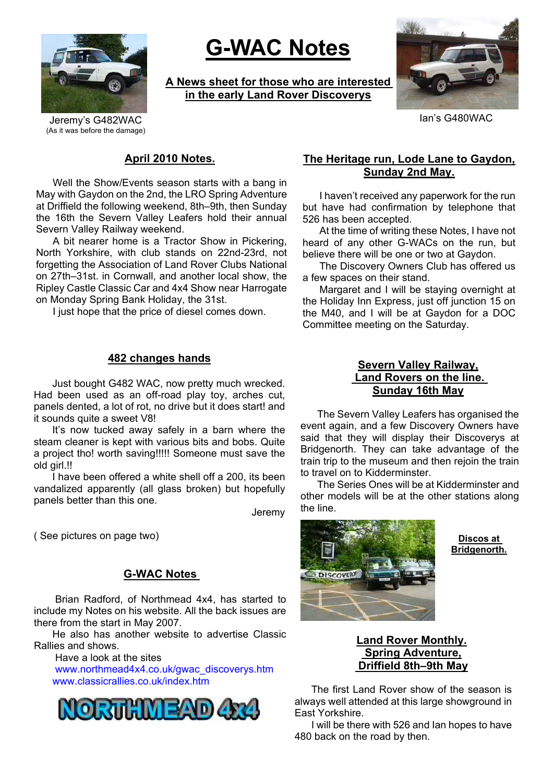

# **G-WAC Notes**

**A News sheet for those who are interested in the early Land Rover Discoverys**



Jeremy's G482WAC **Ian's G480WAC** (As it was before the damage)

#### **April 2010 Notes.**

Well the Show/Events season starts with a bang in May with Gaydon on the 2nd, the LRO Spring Adventure at Driffield the following weekend, 8th–9th, then Sunday the 16th the Severn Valley Leafers hold their annual Severn Valley Railway weekend.

A bit nearer home is a Tractor Show in Pickering, North Yorkshire, with club stands on 22nd-23rd, not forgetting the Association of Land Rover Clubs National on 27th–31st. in Cornwall, and another local show, the Ripley Castle Classic Car and 4x4 Show near Harrogate on Monday Spring Bank Holiday, the 31st.

I just hope that the price of diesel comes down.

#### **482 changes hands**

Just bought G482 WAC, now pretty much wrecked. Had been used as an off-road play toy, arches cut, panels dented, a lot of rot, no drive but it does start! and it sounds quite a sweet V8!

It's now tucked away safely in a barn where the steam cleaner is kept with various bits and bobs. Quite a project tho! worth saving!!!!! Someone must save the old girl.!!

I have been offered a white shell off a 200, its been vandalized apparently (all glass broken) but hopefully panels better than this one.

Jeremy

# **G-WAC Notes**

Brian Radford, of Northmead 4x4, has started to include my Notes on his website. All the back issues are there from the start in May 2007.

He also has another website to advertise Classic Rallies and shows.

Have a look at the sites www.northmead4x4.co.uk/gwac\_discoverys.htm www.classicrallies.co.uk/index.htm



## **The Heritage run, Lode Lane to Gaydon, Sunday 2nd May.**

I haven't received any paperwork for the run but have had confirmation by telephone that 526 has been accepted.

At the time of writing these Notes, I have not heard of any other G-WACs on the run, but believe there will be one or two at Gaydon.

The Discovery Owners Club has offered us a few spaces on their stand.

Margaret and I will be staying overnight at the Holiday Inn Express, just off junction 15 on the M40, and I will be at Gaydon for a DOC Committee meeting on the Saturday.

## **Severn Valley Railway, Land Rovers on the line. Sunday 16th May**

The Severn Valley Leafers has organised the event again, and a few Discovery Owners have said that they will display their Discoverys at Bridgenorth. They can take advantage of the train trip to the museum and then rejoin the train to travel on to Kidderminster.

The Series Ones will be at Kidderminster and other models will be at the other stations along the line.



**Bridgenorth.**

## **Land Rover Monthly. Spring Adventure, Driffield 8th–9th May**

The first Land Rover show of the season is always well attended at this large showground in East Yorkshire.

I will be there with 526 and Ian hopes to have 480 back on the road by then.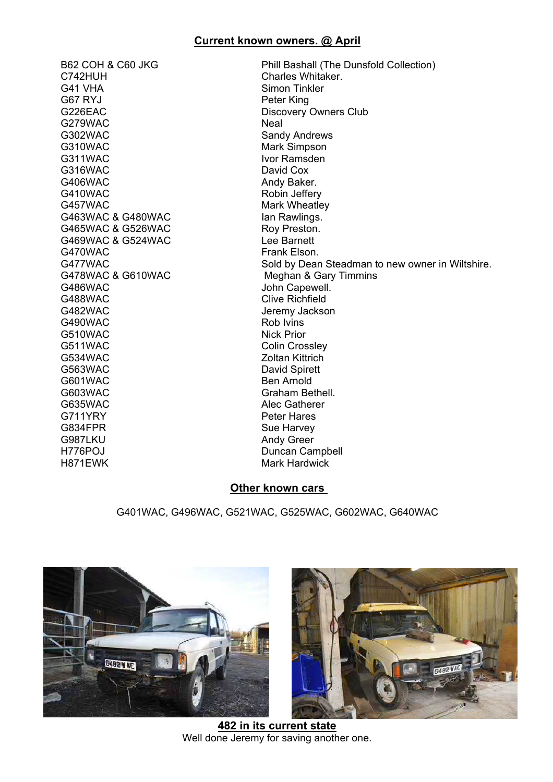## **Current known owners. @ April**

C742HUH Charles Whitaker. G41 VHA Simon Tinkler G67 RYJ Peter King G226EAC Discovery Owners Club G279WAC Neal G302WAC Sandy Andrews G310WAC Mark Simpson G311WAC Ivor Ramsden G316WAC David Cox G406WAC Andy Baker. G410WAC Robin Jeffery G457WAC Mark Wheatley G463WAC & G480WAC Ian Rawlings. G465WAC & G526WAC Roy Preston. G469WAC & G524WAC Lee Barnett G470WAC Frank Elson. G486WAC John Capewell. G488WAC Clive Richfield G482WAC Jeremy Jackson<br>G490WAC Rob Ivins  $G490WAC$ G510WAC Nick Prior G511WAC Colin Crossley G534WAC Zoltan Kittrich G563WAC David Spirett G601WAC Ben Arnold G603WAC Graham Bethell. G635WAC Alec Gatherer G711YRY Peter Hares G834FPR Sue Harvey G987LKU Andy Greer

B62 COH & C60 JKG Phill Bashall (The Dunsfold Collection) G477WAC<br>G478WAC & G610WAC Sold by Dean Steadman to new owner in Wiltshire. Meghan & Gary Timmins H776POJ Duncan Campbell Mark Hardwick

#### **Other known cars**

G401WAC, G496WAC, G521WAC, G525WAC, G602WAC, G640WAC





**482 in its current state** Well done Jeremy for saving another one.